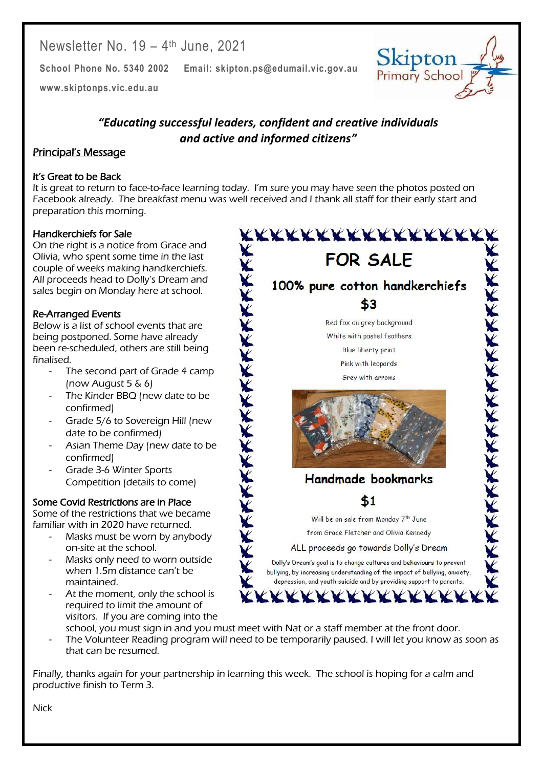Newsletter No. 19 – 4 th June, 2021

**School Phone No. 5340 2002 Email: skipton.ps@edumail.vic.gov.au**

**[www.skiptonps.vic.edu.au](http://www.skiptonps.vic.edu.au/)**

# *"Educating successful leaders, confident and creative individuals and active and informed citizens"*

#### Principal's Message

#### It's Great to be Back

It is great to return to face-to-face learning today. I'm sure you may have seen the photos posted on Facebook already. The breakfast menu was well received and I thank all staff for their early start and preparation this morning.

#### Handkerchiefs for Sale

On the right is a notice from Grace and Olivia, who spent some time in the last couple of weeks making handkerchiefs. All proceeds head to Dolly's Dream and sales begin on Monday here at school.

#### Re-Arranged Events

Below is a list of school events that are being postponed. Some have already been re-scheduled, others are still being finalised.

- The second part of Grade 4 camp (now August 5 & 6)
- The Kinder BBQ (new date to be confirmed)
- Grade 5/6 to Sovereign Hill (new date to be confirmed)
- Asian Theme Day (new date to be confirmed)
- Grade 3-6 Winter Sports Competition (details to come)

#### Some Covid Restrictions are in Place

Some of the restrictions that we became familiar with in 2020 have returned.

- Masks must be worn by anybody on-site at the school.
- Masks only need to worn outside when 1.5m distance can't be maintained.
- At the moment, only the school is required to limit the amount of visitors. If you are coming into the



Skipton Primary School

Centacare South West

- school, you must sign in and you must meet with Nat or a staff member at the front door. The Volunteer Reading program will need to be temporarily paused. I will let you know as soon as
- that can be resumed.

Finally, thanks again for your partnership in learning this week. The school is hoping for a calm and productive finish to Term 3.

Nick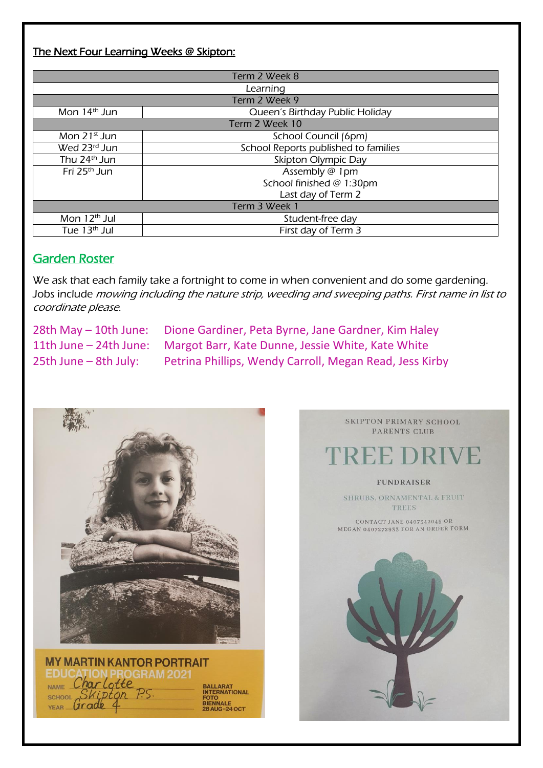## The Next Four Learning Weeks @ Skipton:

| Term 2 Week 8            |                                      |
|--------------------------|--------------------------------------|
| Learning                 |                                      |
| Term 2 Week 9            |                                      |
| Mon 14 <sup>th</sup> Jun | Queen's Birthday Public Holiday      |
| Term 2 Week 10           |                                      |
| Mon $21st$ Jun           | School Council (6pm)                 |
| Wed 23rd Jun             | School Reports published to families |
| Thu 24 <sup>th</sup> Jun | Skipton Olympic Day                  |
| Fri 25 <sup>th</sup> Jun | Assembly @ 1pm                       |
|                          | School finished @ 1:30pm             |
|                          | Last day of Term 2                   |
| Term 3 Week 1            |                                      |
| Mon $12th$ Jul           | Student-free day                     |
| Tue 13 <sup>th</sup> Jul | First day of Term 3                  |

### Garden Roster

We ask that each family take a fortnight to come in when convenient and do some gardening. Jobs include mowing including the nature strip, weeding and sweeping paths. First name in list to coordinate please.

28th May – 10th June: Dione Gardiner, Peta Byrne, Jane Gardner, Kim Haley 11th June – 24th June: Margot Barr, Kate Dunne, Jessie White, Kate White 25th June – 8th July: Petrina Phillips, Wendy Carroll, Megan Read, Jess Kirby





SKIPTON PRIMARY SCHOOL PARENTS CLUB EE DRIVE **FUNDRAISER** SHRUBS, ORNAMENTAL & FRUIT TREES CONTACT JANE 0407342045 OR MEGAN 0407272933 FOR AN ORDER FORM

Centacare South West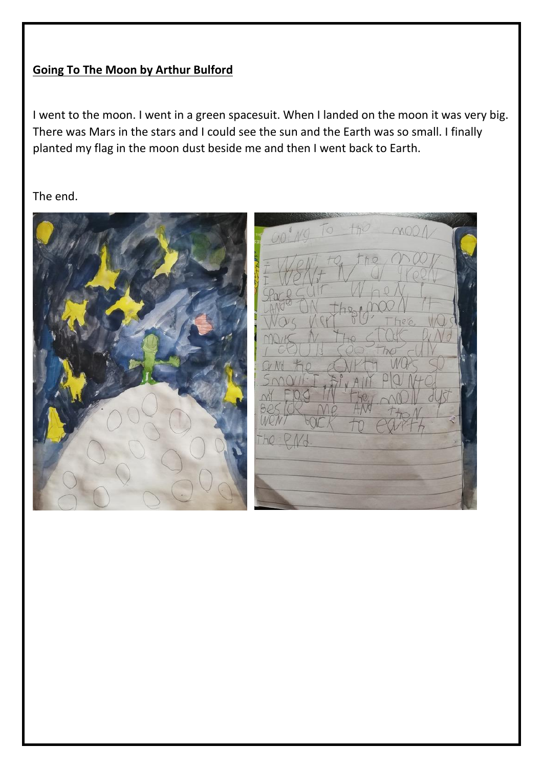## **Going To The Moon by Arthur Bulford**

I went to the moon. I went in a green spacesuit. When I landed on the moon it was very big. There was Mars in the stars and I could see the sun and the Earth was so small. I finally planted my flag in the moon dust beside me and then I went back to Earth.

The end.



Centacare South West